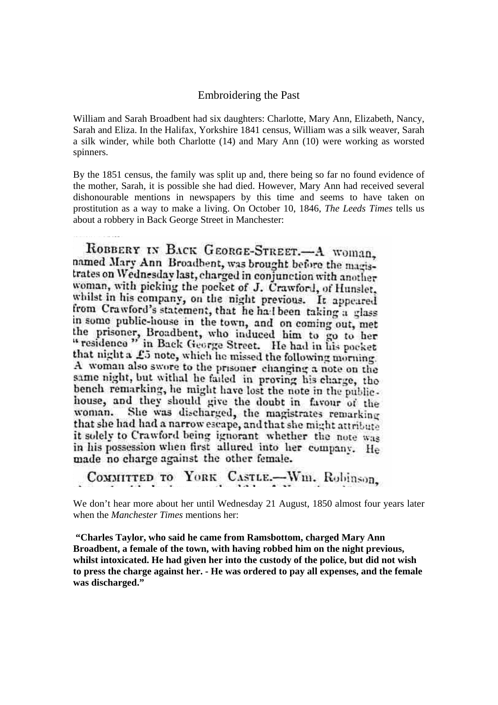## Embroidering the Past

William and Sarah Broadbent had six daughters: Charlotte, Mary Ann, Elizabeth, Nancy, Sarah and Eliza. In the Halifax, Yorkshire 1841 census, William was a silk weaver, Sarah a silk winder, while both Charlotte (14) and Mary Ann (10) were working as worsted spinners.

By the 1851 census, the family was split up and, there being so far no found evidence of the mother, Sarah, it is possible she had died. However, Mary Ann had received several dishonourable mentions in newspapers by this time and seems to have taken on prostitution as a way to make a living. On October 10, 1846, *The Leeds Times* tells us about a robbery in Back George Street in Manchester:

ROBBERY IN BACK GEORGE-STREET.-A WOMAN. named Mary Ann Broadbent, was brought before the magistrates on Wednesday last, charged in conjunction with another woman, with picking the pocket of J. Crawford, of Hunslet. whilst in his company, on the night previous. It appeared from Crawford's statement, that he halbeen taking a glass in some public-house in the town, and on coming out, met the prisoner, Broadbent, who induced him to go to her<br>"residence" in Back George Street. He had in his pocket that night a £5 note, which he missed the following morning. A woman also swore to the prisoner changing a note on the same night, but withal he failed in proving his charge, the bench remarking, he might have lost the note in the publichouse, and they should give the doubt in favour of the She was discharged, the magistrates remarking woman. that she had had a narrow escape, and that she might attribute it solely to Crawford being ignorant whether the note was in his possession when first allured into her company. He made no charge against the other female.

COMMITTED TO YORK CASTLE.-Wm. Robinson,

We don't hear more about her until Wednesday 21 August, 1850 almost four years later when the *Manchester Times* mentions her:

 **"Charles Taylor, who said he came from Ramsbottom, charged Mary Ann Broadbent, a female of the town, with having robbed him on the night previous, whilst intoxicated. He had given her into the custody of the police, but did not wish to press the charge against her. - He was ordered to pay all expenses, and the female was discharged."**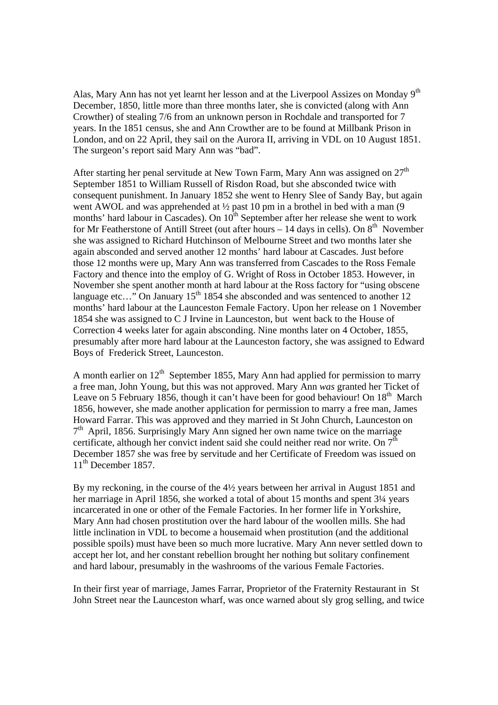Alas, Mary Ann has not yet learnt her lesson and at the Liverpool Assizes on Monday 9<sup>th</sup> December, 1850, little more than three months later, she is convicted (along with Ann Crowther) of stealing 7/6 from an unknown person in Rochdale and transported for 7 years. In the 1851 census, she and Ann Crowther are to be found at Millbank Prison in London, and on 22 April, they sail on the Aurora II, arriving in VDL on 10 August 1851. The surgeon's report said Mary Ann was "bad".

After starting her penal servitude at New Town Farm, Mary Ann was assigned on  $27<sup>th</sup>$ September 1851 to William Russell of Risdon Road, but she absconded twice with consequent punishment. In January 1852 she went to Henry Slee of Sandy Bay, but again went AWOL and was apprehended at <sup>1</sup>/<sub>2</sub> past 10 pm in a brothel in bed with a man (9) months' hard labour in Cascades). On  $10^{th}$  September after her release she went to work for Mr Featherstone of Antill Street (out after hours  $-14$  days in cells). On  $8<sup>th</sup>$  November she was assigned to Richard Hutchinson of Melbourne Street and two months later she again absconded and served another 12 months' hard labour at Cascades. Just before those 12 months were up, Mary Ann was transferred from Cascades to the Ross Female Factory and thence into the employ of G. Wright of Ross in October 1853. However, in November she spent another month at hard labour at the Ross factory for "using obscene language etc..." On January  $15<sup>th</sup> 1854$  she absconded and was sentenced to another 12 months' hard labour at the Launceston Female Factory. Upon her release on 1 November 1854 she was assigned to C J Irvine in Launceston, but went back to the House of Correction 4 weeks later for again absconding. Nine months later on 4 October, 1855, presumably after more hard labour at the Launceston factory, she was assigned to Edward Boys of Frederick Street, Launceston.

A month earlier on  $12<sup>th</sup>$  September 1855, Mary Ann had applied for permission to marry a free man, John Young, but this was not approved. Mary Ann *was* granted her Ticket of Leave on 5 February 1856, though it can't have been for good behaviour! On  $18<sup>th</sup>$  March 1856, however, she made another application for permission to marry a free man, James Howard Farrar. This was approved and they married in St John Church, Launceston on  $7<sup>th</sup>$  April, 1856. Surprisingly Mary Ann signed her own name twice on the marriage certificate, although her convict indent said she could neither read nor write. On  $7<sup>th</sup>$ December 1857 she was free by servitude and her Certificate of Freedom was issued on  $11<sup>th</sup>$  December 1857.

By my reckoning, in the course of the 4½ years between her arrival in August 1851 and her marriage in April 1856, she worked a total of about 15 months and spent 3¼ years incarcerated in one or other of the Female Factories. In her former life in Yorkshire, Mary Ann had chosen prostitution over the hard labour of the woollen mills. She had little inclination in VDL to become a housemaid when prostitution (and the additional possible spoils) must have been so much more lucrative. Mary Ann never settled down to accept her lot, and her constant rebellion brought her nothing but solitary confinement and hard labour, presumably in the washrooms of the various Female Factories.

In their first year of marriage, James Farrar, Proprietor of the Fraternity Restaurant in St John Street near the Launceston wharf, was once warned about sly grog selling, and twice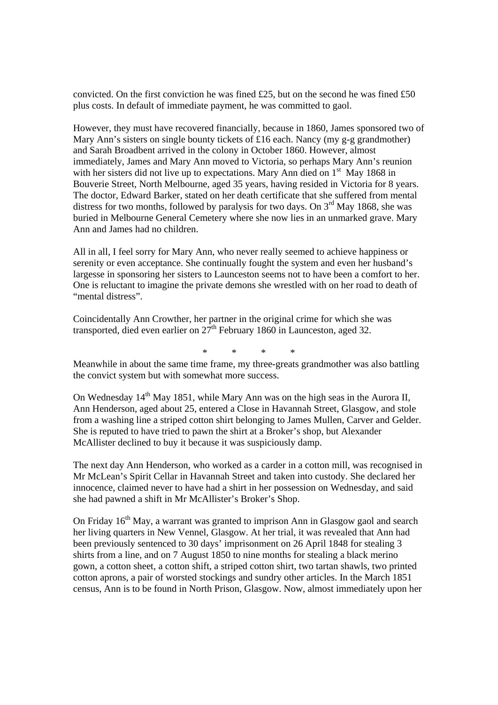convicted. On the first conviction he was fined £25, but on the second he was fined £50 plus costs. In default of immediate payment, he was committed to gaol.

However, they must have recovered financially, because in 1860, James sponsored two of Mary Ann's sisters on single bounty tickets of £16 each. Nancy (my g-g grandmother) and Sarah Broadbent arrived in the colony in October 1860. However, almost immediately, James and Mary Ann moved to Victoria, so perhaps Mary Ann's reunion with her sisters did not live up to expectations. Mary Ann died on  $1<sup>st</sup>$  May 1868 in Bouverie Street, North Melbourne, aged 35 years, having resided in Victoria for 8 years. The doctor, Edward Barker, stated on her death certificate that she suffered from mental distress for two months, followed by paralysis for two days. On  $3<sup>rd</sup>$  May 1868, she was buried in Melbourne General Cemetery where she now lies in an unmarked grave. Mary Ann and James had no children.

All in all, I feel sorry for Mary Ann, who never really seemed to achieve happiness or serenity or even acceptance. She continually fought the system and even her husband's largesse in sponsoring her sisters to Launceston seems not to have been a comfort to her. One is reluctant to imagine the private demons she wrestled with on her road to death of "mental distress".

Coincidentally Ann Crowther, her partner in the original crime for which she was transported, died even earlier on  $27<sup>th</sup>$  February 1860 in Launceston, aged 32.

\* \* \* \*

Meanwhile in about the same time frame, my three-greats grandmother was also battling the convict system but with somewhat more success.

On Wednesday 14<sup>th</sup> May 1851, while Mary Ann was on the high seas in the Aurora II, Ann Henderson, aged about 25, entered a Close in Havannah Street, Glasgow, and stole from a washing line a striped cotton shirt belonging to James Mullen, Carver and Gelder. She is reputed to have tried to pawn the shirt at a Broker's shop, but Alexander McAllister declined to buy it because it was suspiciously damp.

The next day Ann Henderson, who worked as a carder in a cotton mill, was recognised in Mr McLean's Spirit Cellar in Havannah Street and taken into custody. She declared her innocence, claimed never to have had a shirt in her possession on Wednesday, and said she had pawned a shift in Mr McAllister's Broker's Shop.

On Friday  $16<sup>th</sup>$  May, a warrant was granted to imprison Ann in Glasgow gaol and search her living quarters in New Vennel, Glasgow. At her trial, it was revealed that Ann had been previously sentenced to 30 days' imprisonment on 26 April 1848 for stealing 3 shirts from a line, and on 7 August 1850 to nine months for stealing a black merino gown, a cotton sheet, a cotton shift, a striped cotton shirt, two tartan shawls, two printed cotton aprons, a pair of worsted stockings and sundry other articles. In the March 1851 census, Ann is to be found in North Prison, Glasgow. Now, almost immediately upon her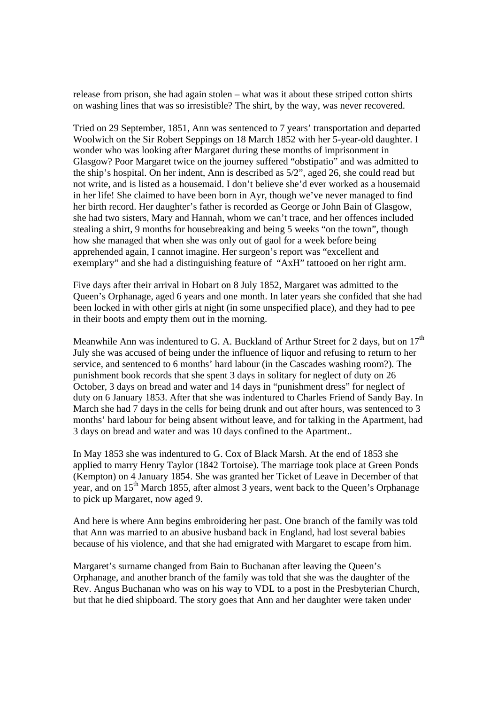release from prison, she had again stolen – what was it about these striped cotton shirts on washing lines that was so irresistible? The shirt, by the way, was never recovered.

Tried on 29 September, 1851, Ann was sentenced to 7 years' transportation and departed Woolwich on the Sir Robert Seppings on 18 March 1852 with her 5-year-old daughter. I wonder who was looking after Margaret during these months of imprisonment in Glasgow? Poor Margaret twice on the journey suffered "obstipatio" and was admitted to the ship's hospital. On her indent, Ann is described as 5/2", aged 26, she could read but not write, and is listed as a housemaid. I don't believe she'd ever worked as a housemaid in her life! She claimed to have been born in Ayr, though we've never managed to find her birth record. Her daughter's father is recorded as George or John Bain of Glasgow, she had two sisters, Mary and Hannah, whom we can't trace, and her offences included stealing a shirt, 9 months for housebreaking and being 5 weeks "on the town", though how she managed that when she was only out of gaol for a week before being apprehended again, I cannot imagine. Her surgeon's report was "excellent and exemplary" and she had a distinguishing feature of "AxH" tattooed on her right arm.

Five days after their arrival in Hobart on 8 July 1852, Margaret was admitted to the Queen's Orphanage, aged 6 years and one month. In later years she confided that she had been locked in with other girls at night (in some unspecified place), and they had to pee in their boots and empty them out in the morning.

Meanwhile Ann was indentured to G. A. Buckland of Arthur Street for 2 days, but on  $17<sup>th</sup>$ July she was accused of being under the influence of liquor and refusing to return to her service, and sentenced to 6 months' hard labour (in the Cascades washing room?). The punishment book records that she spent 3 days in solitary for neglect of duty on 26 October, 3 days on bread and water and 14 days in "punishment dress" for neglect of duty on 6 January 1853. After that she was indentured to Charles Friend of Sandy Bay. In March she had 7 days in the cells for being drunk and out after hours, was sentenced to 3 months' hard labour for being absent without leave, and for talking in the Apartment, had 3 days on bread and water and was 10 days confined to the Apartment..

In May 1853 she was indentured to G. Cox of Black Marsh. At the end of 1853 she applied to marry Henry Taylor (1842 Tortoise). The marriage took place at Green Ponds (Kempton) on 4 January 1854. She was granted her Ticket of Leave in December of that year, and on 15<sup>th</sup> March 1855, after almost 3 years, went back to the Queen's Orphanage to pick up Margaret, now aged 9.

And here is where Ann begins embroidering her past. One branch of the family was told that Ann was married to an abusive husband back in England, had lost several babies because of his violence, and that she had emigrated with Margaret to escape from him.

Margaret's surname changed from Bain to Buchanan after leaving the Queen's Orphanage, and another branch of the family was told that she was the daughter of the Rev. Angus Buchanan who was on his way to VDL to a post in the Presbyterian Church, but that he died shipboard. The story goes that Ann and her daughter were taken under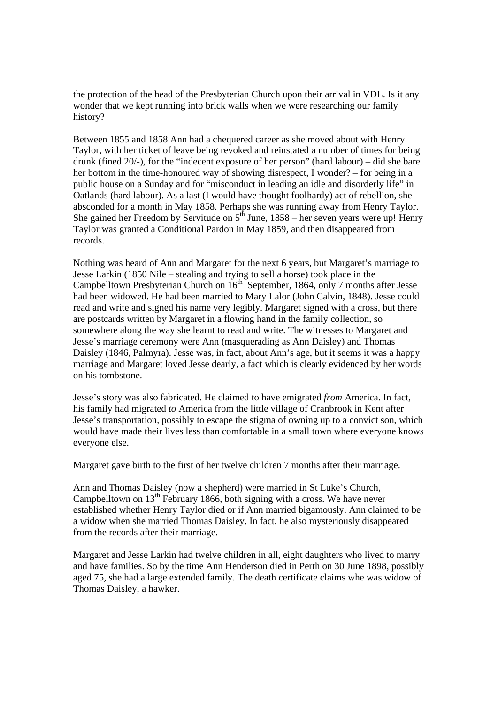the protection of the head of the Presbyterian Church upon their arrival in VDL. Is it any wonder that we kept running into brick walls when we were researching our family history?

Between 1855 and 1858 Ann had a chequered career as she moved about with Henry Taylor, with her ticket of leave being revoked and reinstated a number of times for being drunk (fined 20/-), for the "indecent exposure of her person" (hard labour) – did she bare her bottom in the time-honoured way of showing disrespect, I wonder? – for being in a public house on a Sunday and for "misconduct in leading an idle and disorderly life" in Oatlands (hard labour). As a last (I would have thought foolhardy) act of rebellion, she absconded for a month in May 1858. Perhaps she was running away from Henry Taylor. She gained her Freedom by Servitude on  $5<sup>th</sup>$  June, 1858 – her seven years were up! Henry Taylor was granted a Conditional Pardon in May 1859, and then disappeared from records.

Nothing was heard of Ann and Margaret for the next 6 years, but Margaret's marriage to Jesse Larkin (1850 Nile – stealing and trying to sell a horse) took place in the Campbelltown Presbyterian Church on 16<sup>th</sup> September, 1864, only 7 months after Jesse had been widowed. He had been married to Mary Lalor (John Calvin, 1848). Jesse could read and write and signed his name very legibly. Margaret signed with a cross, but there are postcards written by Margaret in a flowing hand in the family collection, so somewhere along the way she learnt to read and write. The witnesses to Margaret and Jesse's marriage ceremony were Ann (masquerading as Ann Daisley) and Thomas Daisley (1846, Palmyra). Jesse was, in fact, about Ann's age, but it seems it was a happy marriage and Margaret loved Jesse dearly, a fact which is clearly evidenced by her words on his tombstone.

Jesse's story was also fabricated. He claimed to have emigrated *from* America. In fact, his family had migrated *to* America from the little village of Cranbrook in Kent after Jesse's transportation, possibly to escape the stigma of owning up to a convict son, which would have made their lives less than comfortable in a small town where everyone knows everyone else.

Margaret gave birth to the first of her twelve children 7 months after their marriage.

Ann and Thomas Daisley (now a shepherd) were married in St Luke's Church, Campbelltown on  $13<sup>th</sup>$  February 1866, both signing with a cross. We have never established whether Henry Taylor died or if Ann married bigamously. Ann claimed to be a widow when she married Thomas Daisley. In fact, he also mysteriously disappeared from the records after their marriage.

Margaret and Jesse Larkin had twelve children in all, eight daughters who lived to marry and have families. So by the time Ann Henderson died in Perth on 30 June 1898, possibly aged 75, she had a large extended family. The death certificate claims whe was widow of Thomas Daisley, a hawker.